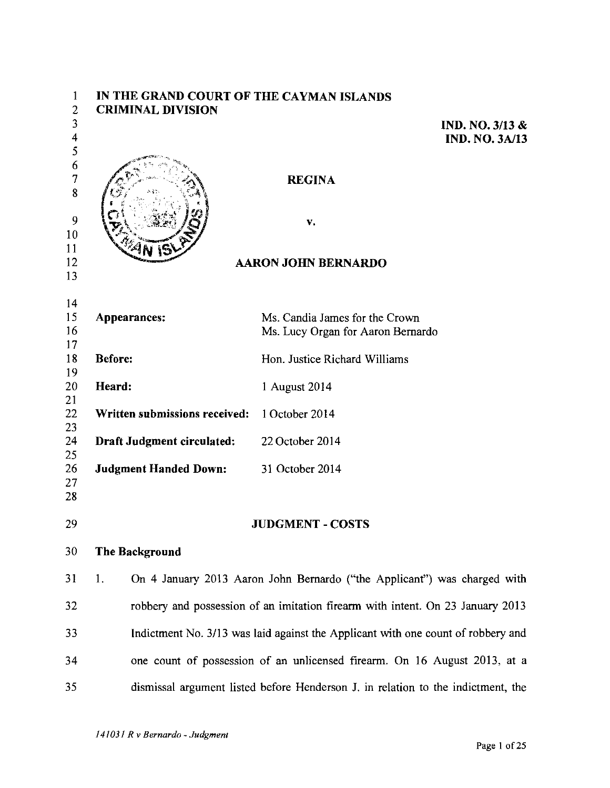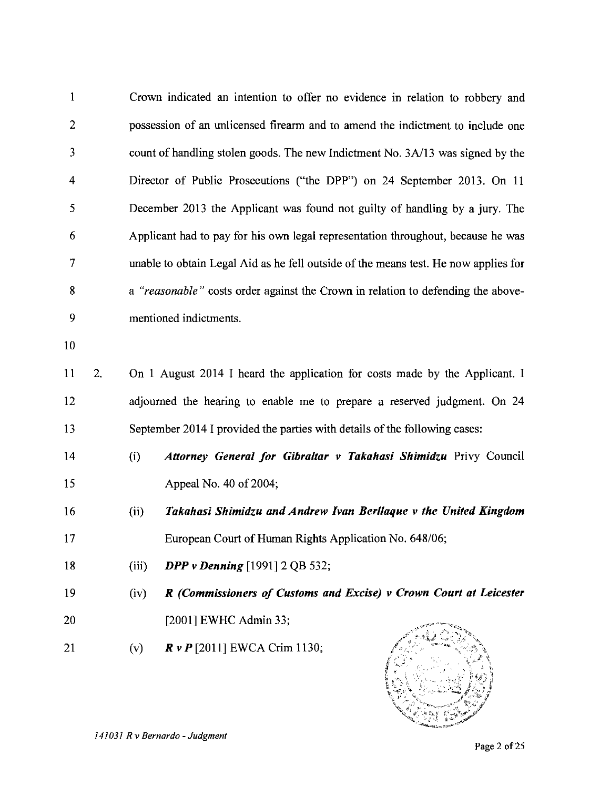| $\mathbf{1}$             |    |       | Crown indicated an intention to offer no evidence in relation to robbery and        |
|--------------------------|----|-------|-------------------------------------------------------------------------------------|
| $\overline{2}$           |    |       | possession of an unlicensed firearm and to amend the indictment to include one      |
| 3                        |    |       | count of handling stolen goods. The new Indictment No. 3A/13 was signed by the      |
| $\overline{\mathcal{A}}$ |    |       | Director of Public Prosecutions ("the DPP") on 24 September 2013. On 11             |
| 5                        |    |       | December 2013 the Applicant was found not guilty of handling by a jury. The         |
| 6                        |    |       | Applicant had to pay for his own legal representation throughout, because he was    |
| 7                        |    |       | unable to obtain Legal Aid as he fell outside of the means test. He now applies for |
| 8                        |    |       | a "reasonable" costs order against the Crown in relation to defending the above-    |
| 9                        |    |       | mentioned indictments.                                                              |
| 10                       |    |       |                                                                                     |
| 11                       | 2. |       | On 1 August 2014 I heard the application for costs made by the Applicant. I         |
| 12                       |    |       | adjourned the hearing to enable me to prepare a reserved judgment. On 24            |
| 13                       |    |       | September 2014 I provided the parties with details of the following cases:          |
| 14                       |    | (i)   | Attorney General for Gibraltar v Takahasi Shimidzu Privy Council                    |
| 15                       |    |       | Appeal No. 40 of 2004;                                                              |
| 16                       |    | (ii)  | Takahasi Shimidzu and Andrew Ivan Berllaque v the United Kingdom                    |
| 17                       |    |       | European Court of Human Rights Application No. 648/06;                              |
| 18                       |    | (iii) | <b>DPP</b> v Denning [1991] 2 QB 532;                                               |
| 19                       |    | (iv)  | R (Commissioners of Customs and Excise) v Crown Court at Leicester                  |
| 20                       |    |       | [2001] EWHC Admin 33;                                                               |
| 21                       |    | (v)   | $R \, \nu \, P$ [2011] EWCA Crim 1130;                                              |

青豆 ŃQ.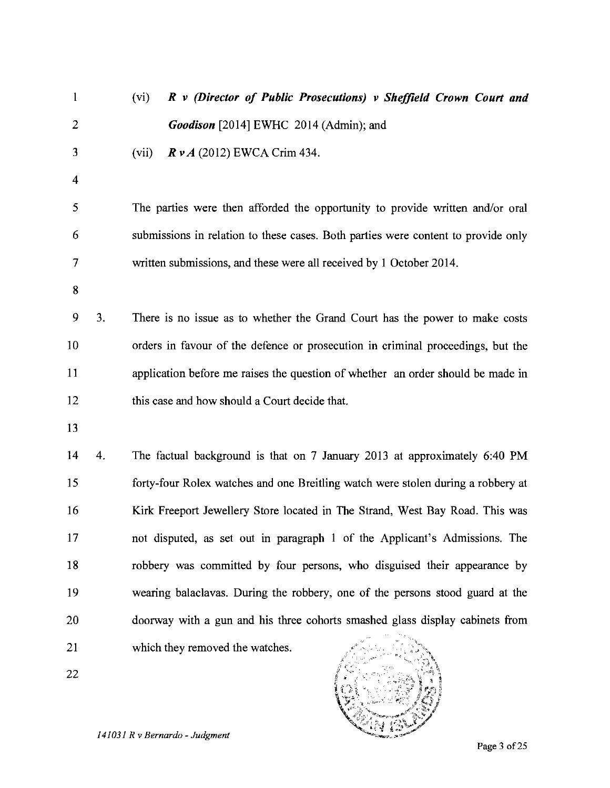| $\mathbf{l}$   |    | $R \nu$ (Director of Public Prosecutions) $\nu$ Sheffield Crown Court and<br>(vi) |
|----------------|----|-----------------------------------------------------------------------------------|
| $\overline{2}$ |    | Goodison [2014] EWHC 2014 (Admin); and                                            |
| 3              |    | $R v A$ (2012) EWCA Crim 434.<br>(vii)                                            |
| 4              |    |                                                                                   |
| 5              |    | The parties were then afforded the opportunity to provide written and/or oral     |
| 6              |    | submissions in relation to these cases. Both parties were content to provide only |
| 7              |    | written submissions, and these were all received by 1 October 2014.               |
| 8              |    |                                                                                   |
| 9              | 3. | There is no issue as to whether the Grand Court has the power to make costs       |
| 10             |    | orders in favour of the defence or prosecution in criminal proceedings, but the   |
| 11             |    | application before me raises the question of whether an order should be made in   |
| 12             |    | this case and how should a Court decide that.                                     |
| 13             |    |                                                                                   |
| 14             | 4. | The factual background is that on 7 January 2013 at approximately 6:40 PM         |
| 15             |    | forty-four Rolex watches and one Breitling watch were stolen during a robbery at  |
| 16             |    | Kirk Freeport Jewellery Store located in The Strand, West Bay Road. This was      |
| 17             |    | not disputed, as set out in paragraph 1 of the Applicant's Admissions. The        |
| 18             |    | robbery was committed by four persons, who disguised their appearance by          |
| 19             |    | wearing balaclavas. During the robbery, one of the persons stood guard at the     |
| 20             |    | doorway with a gun and his three cohorts smashed glass display cabinets from      |
| 21             |    | which they removed the watches.                                                   |
| 22             |    |                                                                                   |



*141031 R v Bernardo* - *Judgment*  **'%L%--.~"** >.~+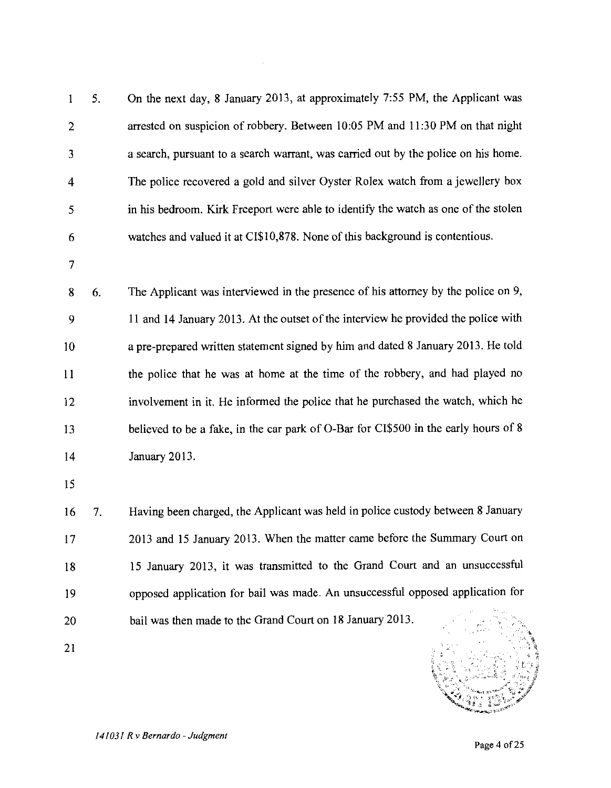| $\mathbf{1}$   | 5. | On the next day, 8 January 2013, at approximately 7:55 PM, the Applicant was        |
|----------------|----|-------------------------------------------------------------------------------------|
| $\overline{2}$ |    | arrested on suspicion of robbery. Between 10:05 PM and 11:30 PM on that night       |
| 3              |    | a search, pursuant to a search warrant, was carried out by the police on his home.  |
| 4              |    | The police recovered a gold and silver Oyster Rolex watch from a jewellery box      |
| 5              |    | in his bedroom. Kirk Freeport were able to identify the watch as one of the stolen  |
| 6              |    | watches and valued it at CI\$10,878. None of this background is contentious.        |
| 7              |    |                                                                                     |
| 8              | 6. | The Applicant was interviewed in the presence of his attorney by the police on 9,   |
| 9              |    | 11 and 14 January 2013. At the outset of the interview he provided the police with  |
| 10             |    | a pre-prepared written statement signed by him and dated 8 January 2013. He told    |
| 11             |    | the police that he was at home at the time of the robbery, and had played no        |
| 12             |    | involvement in it. He informed the police that he purchased the watch, which he     |
| 13             |    | believed to be a fake, in the car park of O-Bar for CI\$500 in the early hours of 8 |
| 14             |    | January 2013.                                                                       |
| 15             |    |                                                                                     |
| 16             | 7. | Having been charged, the Applicant was held in police custody between 8 January     |
| -17            |    | 2013 and 15 January 2013. When the matter came before the Summary Court on          |
| 18             |    | 15 January 2013, it was transmitted to the Grand Court and an unsuccessful          |
| 19             |    | opposed application for bail was made. An unsuccessful opposed application for      |
| 20             |    | bail was then made to the Grand Court on 18 January 2013.                           |
| 21             |    |                                                                                     |

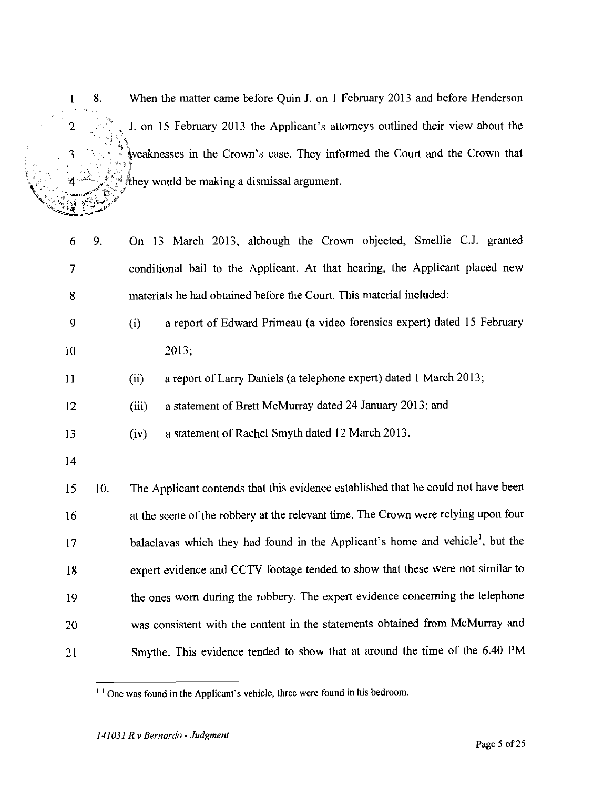1 8. When the matter came before Quin J. on 1 February 2013 and before Henderson J. on 15 February 2013 the Applicant's attorneys outlined their view about the ,  $\mathcal{S} \in \mathbb{R}$ **1. The state of the Crown's case.** They informed the Court and the Crown that  $\frac{1}{2}$ they would be making a dismissal argument. ;' . **>..';,rg.,;** \*i-

| 6  | 9.  | On 13 March 2013, although the Crown objected, Smellie C.J. granted                        |
|----|-----|--------------------------------------------------------------------------------------------|
| 7  |     | conditional bail to the Applicant. At that hearing, the Applicant placed new               |
| 8  |     | materials he had obtained before the Court. This material included:                        |
| 9  |     | a report of Edward Primeau (a video forensics expert) dated 15 February<br>(i)             |
| 10 |     | 2013;                                                                                      |
| 11 |     | a report of Larry Daniels (a telephone expert) dated 1 March 2013;<br>(ii)                 |
| 12 |     | a statement of Brett McMurray dated 24 January 2013; and<br>(iii)                          |
| 13 |     | a statement of Rachel Smyth dated 12 March 2013.<br>(iv)                                   |
| 14 |     |                                                                                            |
| 15 | 10. | The Applicant contends that this evidence established that he could not have been          |
| 16 |     | at the scene of the robbery at the relevant time. The Crown were relying upon four         |
| 17 |     | balaclavas which they had found in the Applicant's home and vehicle <sup>1</sup> , but the |
| 18 |     | expert evidence and CCTV footage tended to show that these were not similar to             |
| 19 |     | the ones worn during the robbery. The expert evidence concerning the telephone             |
| 20 |     | was consistent with the content in the statements obtained from McMurray and               |
| 21 |     | Smythe. This evidence tended to show that at around the time of the 6.40 PM                |

2 ". .

 $\epsilon$ \_\* **,,siY'** 

>.,

*,3* 

<sup>&</sup>lt;sup>1</sup> One was found in the Applicant's vehicle, three were found in his bedroom.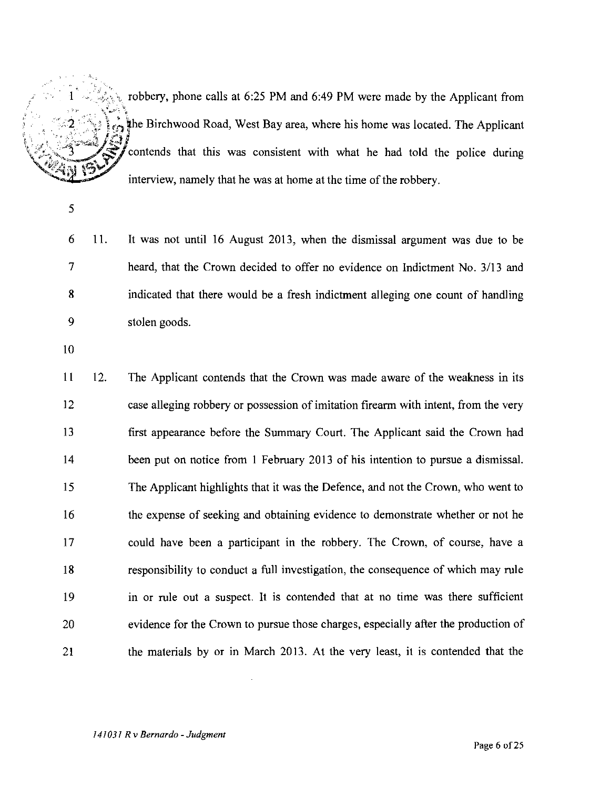robbery, phone calls at 6:25 PM and 6:49 PM were made by the Applicant from the Birchwood Road, West Bay area, where his home was located. The Applicant ontends that this was consistent with what he had told the police during interview, namely that he was at home at the time of the robbery.

- 5
- 6 11. It was not until 16 August 2013, when the dismissal argument was due to be 7 heard, that the Crown decided to offer no evidence on Indictment No. 3/13 and 8 indicated that there would be a fresh indictment alleging one count of handling 9 stolen goods.
- 10

11 12. The Applicant contends that the Crown was made aware of the weakness in its 12 case alleging robbery or possession of imitation firearm with intent, from the very 13 first appearance before the Summary Court. The Applicant said the Crown had 14 been put on notice from 1 February 2013 of his intention to pursue a dismissal. 15 The Applicant highlights that it was the Defence, and not the Crown, who went to 16 the expense of seeking and obtaining evidence to demonstrate whether or not he 17 could have been a participant in the robbery. The Crown, of course, have a 18 responsibility to conduct a full investigation, the consequence of which may rule 19 in or rule out a suspect. It is contended that at no time was there sufficient 20 evidence for the Crown to pursue those charges, especially after the production of 21 the materials by or in March 2013. At the very least, it is contended that the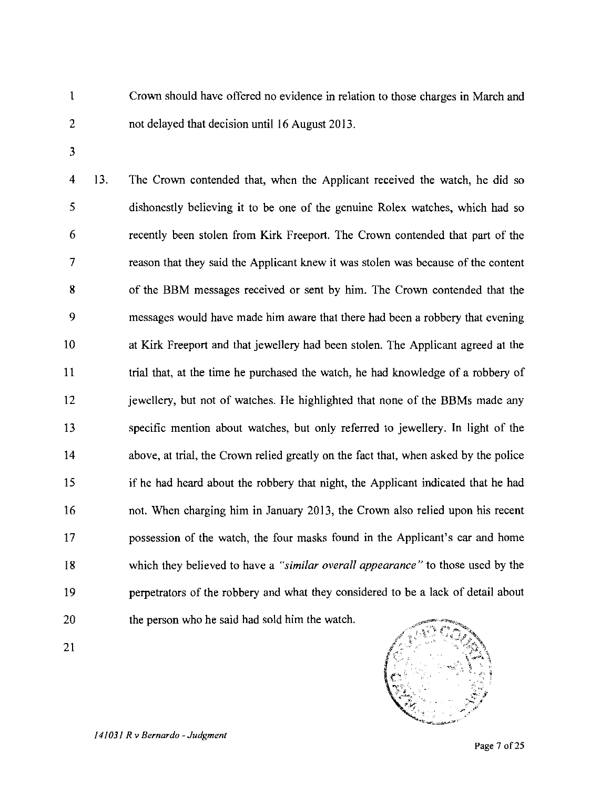$\mathbf{1}$ 

 $\overline{2}$ 

Crown should have offered no evidence in relation to those charges in March and not delayed that decision until 16 August 2013.

3

21

 $\overline{4}$  $13.$ The Crown contended that, when the Applicant received the watch, he did so 5 dishonestly believing it to be one of the genuine Rolex watches, which had so 6 recently been stolen from Kirk Freeport. The Crown contended that part of the  $\overline{7}$ reason that they said the Applicant knew it was stolen was because of the content 8 of the BBM messages received or sent by him. The Crown contended that the 9 messages would have made him aware that there had been a robbery that evening  $10$ at Kirk Freeport and that jewellery had been stolen. The Applicant agreed at the 11 trial that, at the time he purchased the watch, he had knowledge of a robbery of  $12$ jewellery, but not of watches. He highlighted that none of the BBMs made any 13 specific mention about watches, but only referred to jewellery. In light of the 14 above, at trial, the Crown relied greatly on the fact that, when asked by the police 15 if he had heard about the robbery that night, the Applicant indicated that he had 16 not. When charging him in January 2013, the Crown also relied upon his recent 17 possession of the watch, the four masks found in the Applicant's car and home which they believed to have a *"similar overall appearance"* to those used by the 18 19 perpetrators of the robbery and what they considered to be a lack of detail about 20 the person who he said had sold him the watch.



*141031 R v Bernardo* - *Judgment*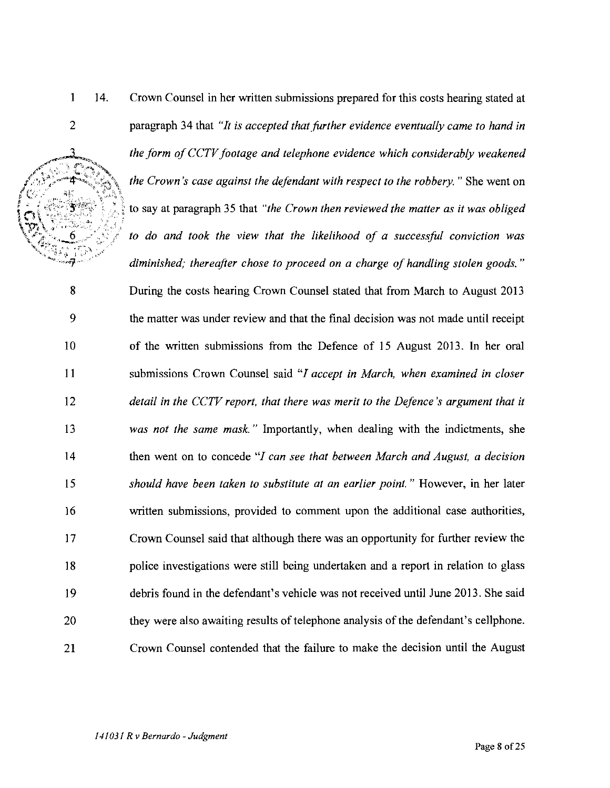- 
- 



1 14. Crown counsel in her written submissions prepared for this costs hearing stated at 2 paragraph 34 that *"It is accepted that further evidence eventually came to hand in* the form of CCTV footage and telephone evidence which considerably weakened *the Crown's case against the defendant with respect to the robbery.* " She went on to say at paragraph 35 that *"the Crown then reviewed the matter as it was obliged to do and took the view that the likelihood of a successful conviction was diminished; thereajier chose to proceed on a charge of handling stolen goods."*  8 During the costs hearing Crown Counsel stated that from March to August 2013 9 the matter was under review and that the final decision was not made until receipt 10 of the written submissions from the Defence of 15 August 2013. In her oral 11 submissions Crown Counsel said *"I accept in March, when examined in closer*  12 *detail in the CCTV report, that there was merit to the Defence's argument that it*  13 *was not the same mask."* Importantly, when dealing with the indictments, she 14 then went on to concede *"I can see that between March and August, a decision*  15 *should have been taken to substitute at an earlier point.* " However, in her later **16** written submissions, provided to comment upon the additional case authorities, 17 Crown Counsel said that although there was an opportunity for further review the 18 police investigations were still being undertaken and a report in relation to glass 19 debris found in the defendant's vehicle was not received until June 2013. She said 20 they were also awaiting results of telephone analysis of the defendant's cellphone. 21 Crown Counsel contended that the failure to make the decision until the August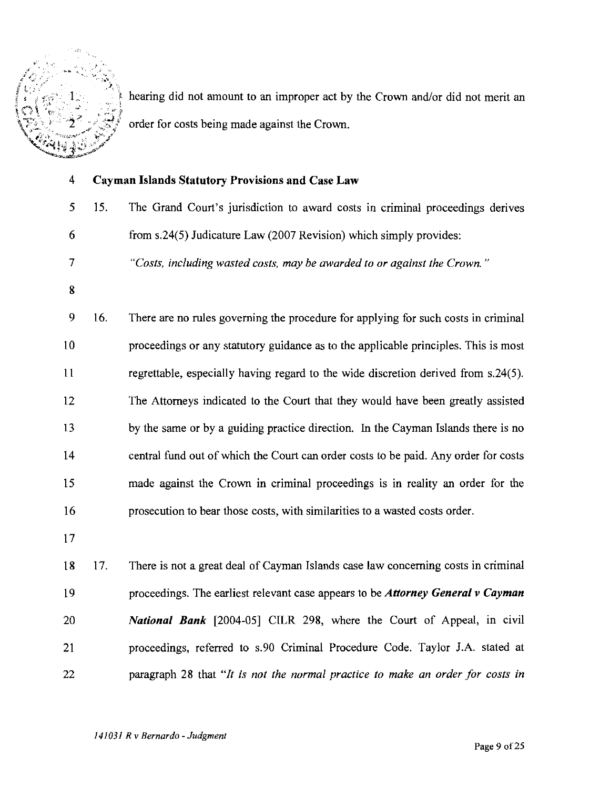

hearing did not amount to an improper act by the Crown and/or did not merit an order for costs being made against the Crown.

| 4  |     | <b>Cayman Islands Statutory Provisions and Case Law</b>                             |
|----|-----|-------------------------------------------------------------------------------------|
| 5  | 15. | The Grand Court's jurisdiction to award costs in criminal proceedings derives       |
| 6  |     | from s.24(5) Judicature Law (2007 Revision) which simply provides:                  |
| 7  |     | "Costs, including wasted costs, may be awarded to or against the Crown."            |
| 8  |     |                                                                                     |
| 9  | 16. | There are no rules governing the procedure for applying for such costs in criminal  |
| 10 |     | proceedings or any statutory guidance as to the applicable principles. This is most |
| 11 |     | regrettable, especially having regard to the wide discretion derived from s.24(5).  |
| 12 |     | The Attorneys indicated to the Court that they would have been greatly assisted     |
| 13 |     | by the same or by a guiding practice direction. In the Cayman Islands there is no   |
| 14 |     | central fund out of which the Court can order costs to be paid. Any order for costs |
| 15 |     | made against the Crown in criminal proceedings is in reality an order for the       |
| 16 |     | prosecution to bear those costs, with similarities to a wasted costs order.         |
| 17 |     |                                                                                     |
| 18 | 17. | There is not a great deal of Cayman Islands case law concerning costs in criminal   |
|    |     |                                                                                     |

proceedings. The earliest relevant case appears to be *Attorney General* v *Cayman*  19 *National Bank* [2004-051 CILR 298, where the Court of Appeal, in civil 20 proceedings, referred to s.90 Criminal Procedure Code. Taylor J.A. stated at 21 paragraph 28 that "It is not the normal practice to make an order for costs in 22

*141031 R v Bernardo* - *Judgment*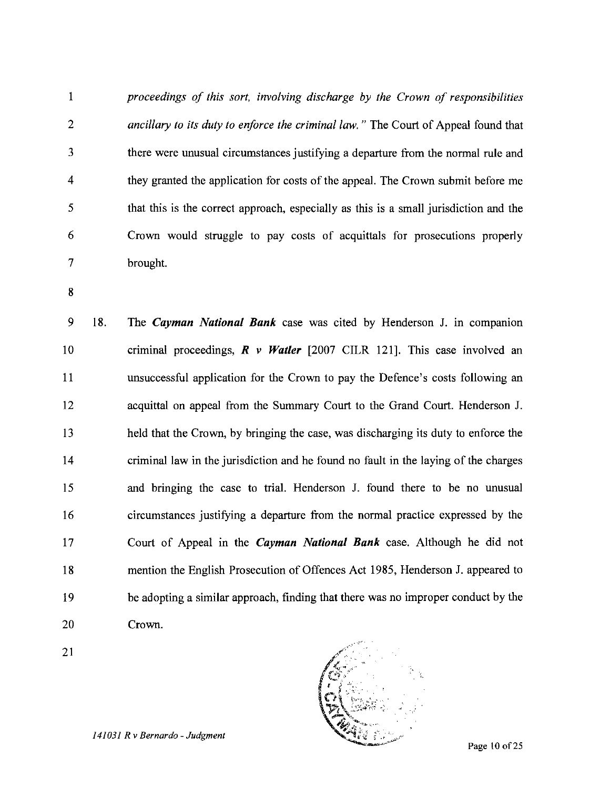$\mathbf{1}$ *proceedings of this sort, involving discharge by the Crown of responsibilities*   $\mathcal{L}$ *ancillary to its duty to enforce the criminal law.* " The Court of Appeal found that  $\overline{3}$ there were unusual circumstances justifying a departure from the normal rule and  $\overline{4}$ they granted the application for costs of the appeal. The Crown submit before me 5 that this is the correct approach, especially as this is a small jurisdiction and the 6 Crown would struggle to pay costs of acquittals for prosecutions properly  $\overline{7}$ brought.

8

9 18. The *Cayman National Bank* case was cited by Henderson J. in companion 10 criminal proceedings, R *v Watler* [2007 CILR 1211. This case involved an 11 unsuccessful application for the Crown to pay the Defence's costs following an 12 acquittal on appeal from the Summary Court to the Grand Court. Henderson J. 13 held that the Crown, by bringing the case, was discharging its duty to enforce the 14 criminal law in the jurisdiction and he found no fault in the laying of the charges 15 and bringing the case to trial. Henderson J. found there to be no unusual 16 circumstances justifying a departure from the normal practice expressed by the 17 Court of Appeal in the *Cayman National Bank* case. Although he did not 18 mention the English Prosecution of Offences Act 1985, Henderson J. appeared to 19 be adopting a similar approach, finding that there was no improper conduct by the 20 Crown.

21



*141031 R v Bernordo* - *Judgment*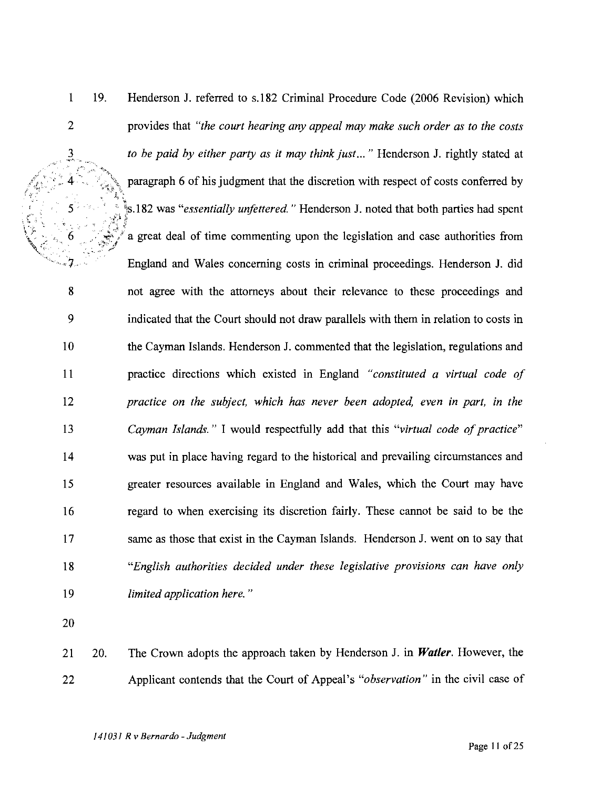- 1 19. Henderson J. referred to s.182 Criminal Procedure Code (2006 Revision) which 2 provides that *"the court hearing any appeal may make such order as to the costs to be paid by either party as it may think just* ..." Henderson J. rightly stated at 3 aragraph 6 of his judgment that the discretion with respect of costs conferred by 182 was *"essentially unfettered.* " Henderson *J.* noted that both parties had spent a great deal of time commenting upon the legislation and case authorities from England and Wales concerning costs in criminal proceedings. Henderson J. did 8 not agree with the attorneys about their relevance to these proceedings and 9 indicated that the Court should not draw parallels with them in relation to costs in 10 the Cayman Islands. Henderson J. commented that the legislation, regulations and 11 practice directions which existed in England *"constituted a virtual code of*  12 *practice on the subject, which has never been adopted, even in part, in the*  13 *Cayman Islands.* " I would respectfully add that this "virtual code of practice" 14 was put in place having regard to the historical and prevailing circumstances and 15 greater resources available in England and Wales, which the Court may have 16 regard to when exercising its discretion fairly. These cannot be said to be the 17 same as those that exist in the Cayman Islands. Henderson J. went on to say that 18 *"English authorities decided under these legislative provisions can have only*  19 *limited application here."*
- 20
- 

21 20. The Crown adopts the approach taken by Henderson J. in *Watler.* However, the 22 Applicant contends that the Court of Appeal's *"observation"* in the civil case of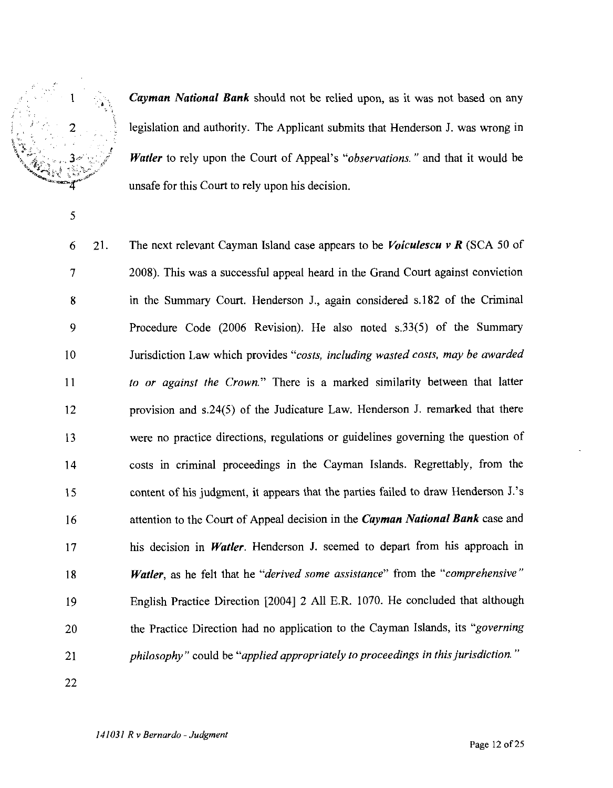

5

Cayman National Bank should not be relied upon, as it was not based on any legislation and authority. The Applicant submits that Henderson J. was wrong in *Watler* to rely upon the Court of Appeal's *"observations.* " and that it would he unsafe for this Court to rely upon his decision.

6 21. The next relevant Cayman Island case appears to he *Voiculescu v* R (SCA 50 of 7 2008). This was a successful appeal heard in the Grand Court against conviction **8** in the Summary Court. Henderson J., again considered s.182 of the Criminal 9 Procedure Code (2006 Revision). He also noted s.33(5) of the Summary 10 Jurisdiction Law which provides *"costs, including wasted costs, may be awarded*  11 *to or against the Crown."* There is a marked similarity between that latter 12 provision and s.24(5) of the Judicature Law. Henderson J. remarked that there 13 were no practice directions, regulations or guidelines governing the question of 14 costs in criminal proceedings in the Cayman Islands. Regrettably, from the 15 content of his judgment, it appears that the parties failed to draw Henderson J.'s 16 attention to the Court of Appeal decision in the *Cayman National Bank* case and 17 his decision in *Watler.* Henderson J. seemed to depart from his approach in 18 *Watler,* as he felt that he *"derived some assistance"* from the *"comprehensive"*  19 English Practice Direction [2004] 2 All E.R. 1070. He concluded that although 20 the Practice Direction had no application to the Cayman Islands, its *"governing*  <sup>21</sup>*philosophy"* could be *"applied appropriately to proceedings in this jurisdiction.* "

22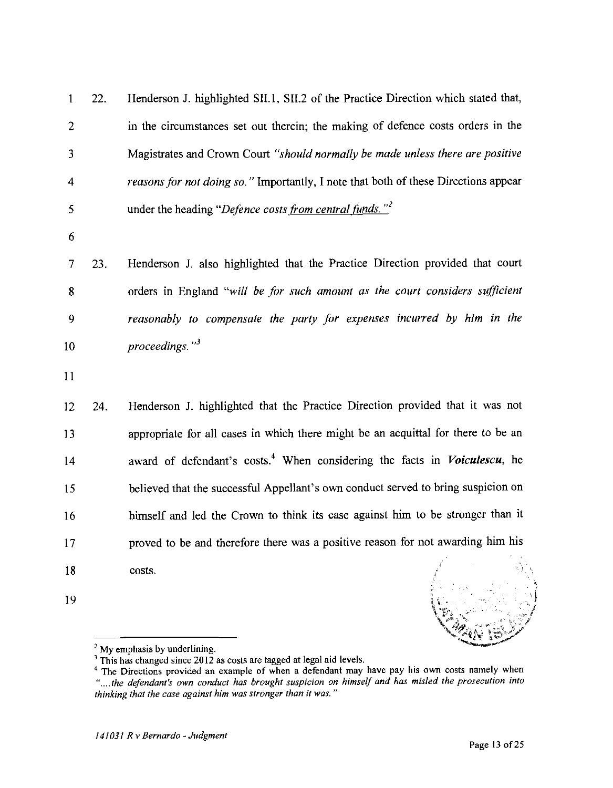| $\mathbf{1}$   | 22. | Henderson J. highlighted SII.1, SII.2 of the Practice Direction which stated that,            |
|----------------|-----|-----------------------------------------------------------------------------------------------|
| $\overline{c}$ |     | in the circumstances set out therein; the making of defence costs orders in the               |
| 3              |     | Magistrates and Crown Court "should normally be made unless there are positive                |
| 4              |     | reasons for not doing so." Importantly, I note that both of these Directions appear           |
| 5              |     | under the heading "Defence costs from central funds." <sup>2</sup>                            |
| 6              |     |                                                                                               |
| 7              | 23. | Henderson J. also highlighted that the Practice Direction provided that court                 |
| 8              |     | orders in England "will be for such amount as the court considers sufficient                  |
| 9              |     | reasonably to compensate the party for expenses incurred by him in the                        |
| 10             |     | proceedings." <sup>3</sup>                                                                    |
| 11             |     |                                                                                               |
| 12             | 24. | Henderson J. highlighted that the Practice Direction provided that it was not                 |
| 13             |     | appropriate for all cases in which there might be an acquittal for there to be an             |
| 14             |     | award of defendant's costs. <sup>4</sup> When considering the facts in <i>Voiculescu</i> , he |
| 15             |     | believed that the successful Appellant's own conduct served to bring suspicion on             |
| 16             |     | himself and led the Crown to think its case against him to be stronger than it                |
| 17             |     | proved to be and therefore there was a positive reason for not awarding him his               |
| 18             |     | costs.                                                                                        |
| 19             |     |                                                                                               |
|                |     | $2$ My emphasis by underlining.                                                               |



**This has changed since 2012 as costs are tagged at legal aid levels.** 

**k\*,:**.\*,(?\$ **y;.,,</'** 

**The Directions provided an example of when a defendant may have pay his own costs namely when**  "...the defendant's own conduct has brought suspicion on himself and has misled the prosecution into **thinking that the case against him was stronger than it was.** "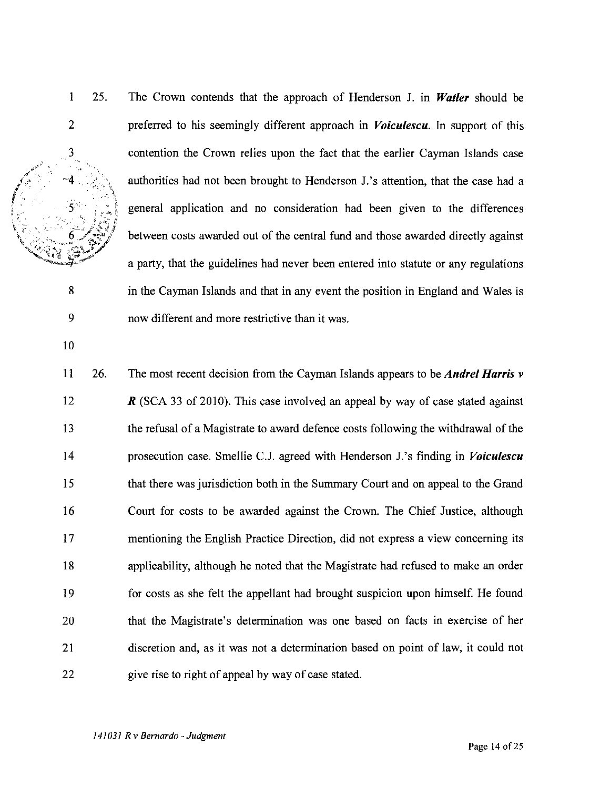1 25. The Crown contends that the approach of Henderson J. in *Watler* should be 2 preferred to his seemingly different approach in *Voiculescu.* In support of this **3** contention the Crown relies upon the fact that the earlier Cayman Islands case authorities had not been brought to Henderson J.'s attention, that the case had a *I* ,, :, '>> general application and no consideration had been given to the differences **<sup>t</sup>**,,\*~. < ,' ~ *<sup>h</sup>***T i**,. .~:, \*, ,'. **<sup>J</sup><sup>k</sup>** between costs awarded out of the central fund and those awarded directly against ,:\*I **',.>,;I.** <".@ \$ a party, that the guidelines had never been entered into statute or any regulations 8 in the Cayman Islands and that in any event the position in England and Wales is 9 now different and more restrictive than it was.

11 26. The most recent decision from the Cayman Islands appears to be *Andrel Harris v* 12  $\mathbf{R}$  (SCA 33 of 2010). This case involved an appeal by way of case stated against 13 the refusal of a Magistrate to award defence costs following the withdrawal of the 14 prosecution case. Smellie C.J. agreed with Henderson J.'s finding in *Voiculescu*  15 that there was jurisdiction both in the Summary Court and on appeal to the Grand 16 Court for costs to be awarded against the Crown. The Chief Justice, although 17 mentioning the English Practice Direction, did not express a view concerning its 18 applicability, although he noted that the Magistrate had refused to make an order 19 for costs as she felt the appellant had brought suspicion upon himself. He found 20 that the Magistrate's determination was one based on facts in exercise of her 21 discretion and, as it was not a determination based on point of law, it could not 22 give rise to right of appeal by way of case stated.

--

s',~

i<br>i

."' -. \_ ,. **L\*.** ,,\* #. ..: ,.? .,

10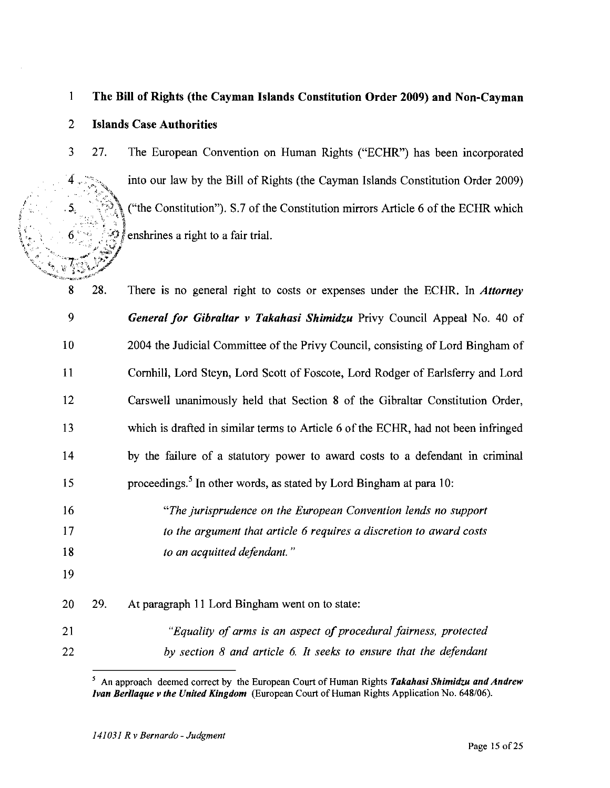## 1 **The Bill of Rights (the Cayman Islands Constitution Order 2009) and Non-Cayman**  2 **Islands Case Authorities**

3 27. The European Convention on Human Rights ("ECHR") has been incorporated into our law by the Bill of Rights (the Cayman Islands Constitution Order 2009). . . **.,.?"b**  ~ ,:,":..,;\ ("the Constitution"). S.7 of the Constitution mirrors Article 6 of the ECHR which ', . ., .<br>مر<sup>م :</sup>  $\cdot$  ,  $\cdot$  $\frac{6}{2}$  enshrines a right to a fair trial.

| 8  | 28. | There is no general right to costs or expenses under the ECHR. In <i>Attorney</i>  |
|----|-----|------------------------------------------------------------------------------------|
| 9  |     | General for Gibraltar v Takahasi Shimidzu Privy Council Appeal No. 40 of           |
| 10 |     | 2004 the Judicial Committee of the Privy Council, consisting of Lord Bingham of    |
| 11 |     | Cornhill, Lord Steyn, Lord Scott of Foscote, Lord Rodger of Earlsferry and Lord    |
| 12 |     | Carswell unanimously held that Section 8 of the Gibraltar Constitution Order,      |
| 13 |     | which is drafted in similar terms to Article 6 of the ECHR, had not been infringed |
| 14 |     | by the failure of a statutory power to award costs to a defendant in criminal      |
| 15 |     | proceedings. <sup>5</sup> In other words, as stated by Lord Bingham at para 10:    |
| 16 |     | "The jurisprudence on the European Convention lends no support                     |
| 17 |     | to the argument that article 6 requires a discretion to award costs                |
| 18 |     | to an acquitted defendant."                                                        |
| 19 |     |                                                                                    |
| 20 | 29. | At paragraph 11 Lord Bingham went on to state:                                     |
| 21 |     | "Equality of arms is an aspect of procedural fairness, protected                   |
| 22 |     | by section 8 and article 6. It seeks to ensure that the defendant                  |
|    |     |                                                                                    |

An approach deemed correct by the European Court of Human Rights *Takahasi Shimidzu and Andrew Ivan Berllaque v the United Kingdom* (European Court of Human Rights Application No. 648/06).

 $\overline{4}$  ,

 $6^\circ$ 

. J . **i '\*f8** \* **.C** .,-\*., **a\*',-'** 

,

? :i

 $\left\{ \begin{array}{c} \alpha_{11} \ \alpha_{21} \ \alpha_{12} \ \alpha_{21} \end{array} \right\}$ **7,** .. . > ,. , .. *2..* ,.' .,

**<sup>q</sup>**', . .\* *6..*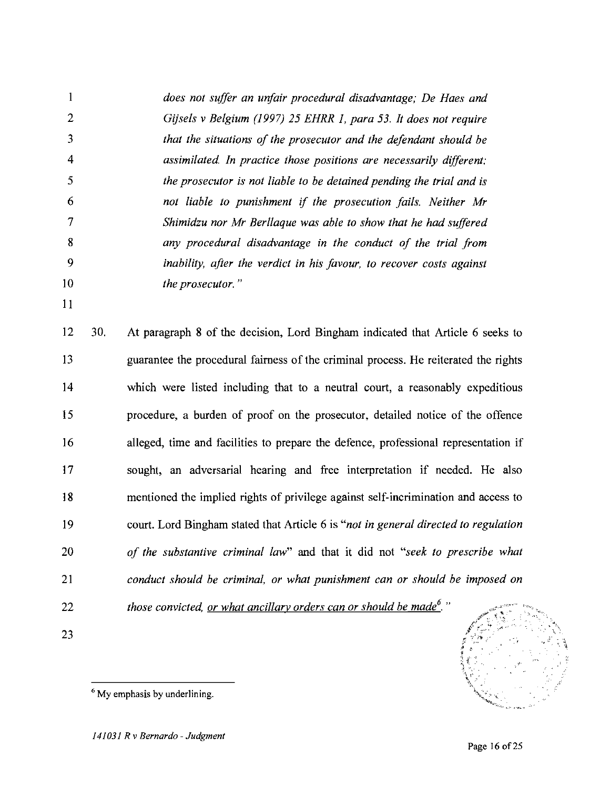$\mathbf{1}$ *does not suffer an unfair procedural disadvantage; De Hues and*   $\overline{2}$ *Gijsels v Belgium (1997)* 25 *EHRR 1, para 53. It does not require*  3 *that the situations of the prosecutor and the defendant should be*  4 *assimilated In practice those positions are necessarily different:*  5 *the prosecutor is not liable to be detained pending the trial and is* 6 *not liable to punishment* **if** *the prosecution fails. Neither Mr*   $\overline{7}$ *Shimidzu nor Mr Berllaque was able to show that he had suffered*  8 *any procedural disadvantage in the conduct of the trial from*  9 *inability, after the verdict in his favour, to recover costs against* 10 *the prosecutor.* "

12 30. At paragraph 8 of the decision, Lord Bingham indicated that Article 6 seeks to 13 guarantee the procedural fairness of the criminal process. He reiterated the rights 14 which were listed including that to a neutral court, a reasonably expeditious 15 procedure, a burden of proof on the prosecutor, detailed notice of the offence 16 alleged, time and facilities to prepare the defence, professional representation if 17 sought, an adversarial hearing and free interpretation if needed. He also 18 mentioned the implied rights of privilege against self-incrimination and access to 19 court. Lord Bingham stated that Article 6 is *"not in general directed to regulation*  20 *of the substantive criminal law"* and that it did not *"seek to prescribe what*  21 *conduct should be criminal, or what punishment can or should be imposed on*  22 *those convicted, or what ancillarv orders can or should be made6.* "



23

11

<sup>&</sup>lt;sup>6</sup>My emphasis by underlining.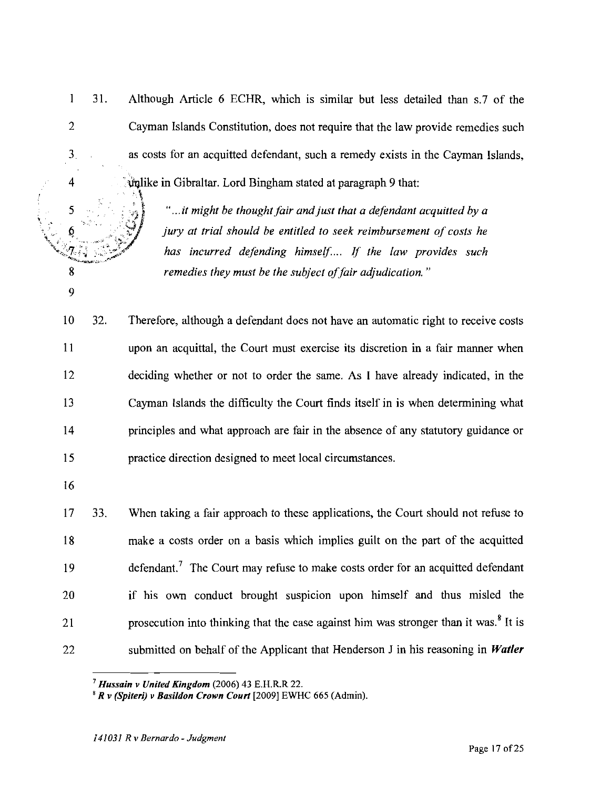1 31. Although Article 6 ECHR, which is similar but less detailed than s.7 of the 2 Cayman Islands Constitution, does not require that the law provide remedies such 3 as costs for an acquitted defendant, such a remedy exists in the Cayman Islands, unlike in Gibraltar. Lord Bingham stated at paragraph 9 that:

> *"...it might be thought fair andjust that a defendant acquitted by a jury at trial should be entitled to seek reimbursement of costs he has incurred defending himse*lf.... *If the law provides such remedies they must be the subject of fair adjudication.*"

10 32. Therefore, although a defendant does not have an automatic right to receive costs 11 upon an acquittal, the Court must exercise its discretion in a fair manner when 12 deciding whether or not to order the same. As I have already indicated, in the 13 Cayman Lslands the difficulty the Court finds itself in is when determining what 14 principles and what approach are fair in the absence of any statutory guidance or 15 practice direction designed to meet local circumstances.

16

 $\overline{\mathbf{4}}$ 

5

6

 $\sigma$ 

 $\overline{\mathbf{8}}$ 

9

17 33. When taking a fair approach to these applications, the Court should not refuse to 18 make a costs order on a basis which implies guilt on the part of the acquitted 19 defendant.<sup>7</sup> The Court may refuse to make costs order for an acquitted defendant 20 if his own conduct brought suspicion upon himself and thus misled the 21 **prosecution into thinking that the case against him was stronger than it was.**<sup>8</sup> It is 22 submitted on behalf of the Applicant that Henderson J in his reasoning in *Watler*  prosecution into thinkii<br>submitted on behalf of<br>y Vinited Kingdom (2006)

**<sup>7</sup>***Hussain v Uniled Kingdom* (2006) *43* E.H.R.R 22.

<sup>&#</sup>x27;*R v (Spileri) v Basildon Crown CouH* [2009] *EWHC* 665 **(Admin)**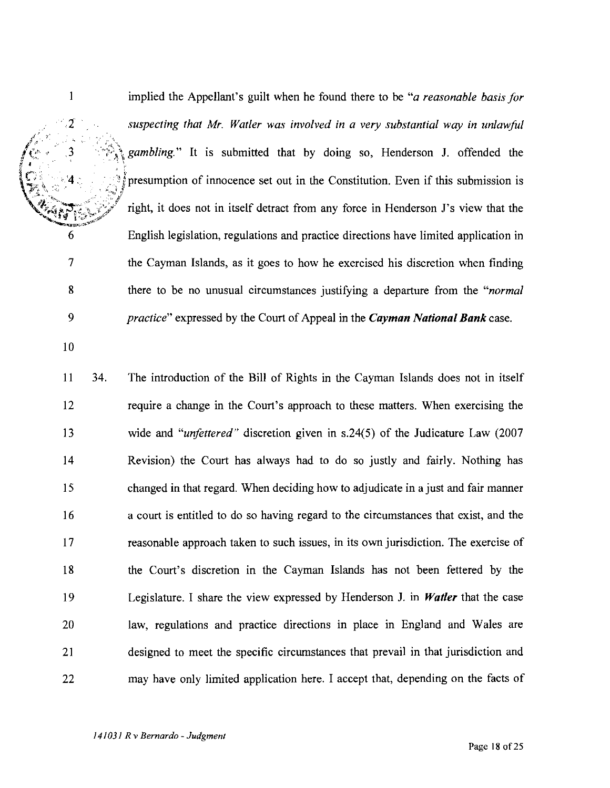1 implied the Appellant's guilt when he found there to be *"a reasonable basisfor*  2 *Suspecting that Mr. Watler was involved in a very substantial way in unlawful* $\frac{1}{2}$ *mbling."* It is submitted that by doing so, Henderson J. offended the esumption of innocence set out in the Constitution. Even if this submission is right, it does not in itself detract from any force in Henderson J's view that the 6 English legislation, regulations and practice directions have limited application in 7 the Cayman Islands, as it goes to how he exercised his discretion when finding **8** there to be no unusual circumstances justifying a departure from the *"normal*  9 *practice"* expressed by the Court of Appeal in the *Cayman National Bank* case.

10

11 34. The introduction of the Bill of Rights in the Cayman Islands does not in itself 12 require a change in the Court's approach to these matters. When exercising the 13 wide and *"unfettered"* discretion given in s.24(5) of the Judicature Law (2007 14 Revision) the Court has always had to do so justly and fairly. Nothing has I5 changed in that regard. When deciding how to adjudicate in a just and fair manner 16 a court is entitled to do so having regard to the circumstances that exist, and the 17 reasonable approach taken to such issues, in its own jurisdiction. The exercise of **18** the Court's discretion in the Cayman Islands has not been fettered by the 19 Legislature. I share the view expressed by Henderson J. in *Watler* that the case 20 law, regulations and practice directions in place in England and Wales are 21 designed to meet the specific circumstances that prevail in that jurisdiction and 22 may have only limited application here. I accept that, depending on the facts of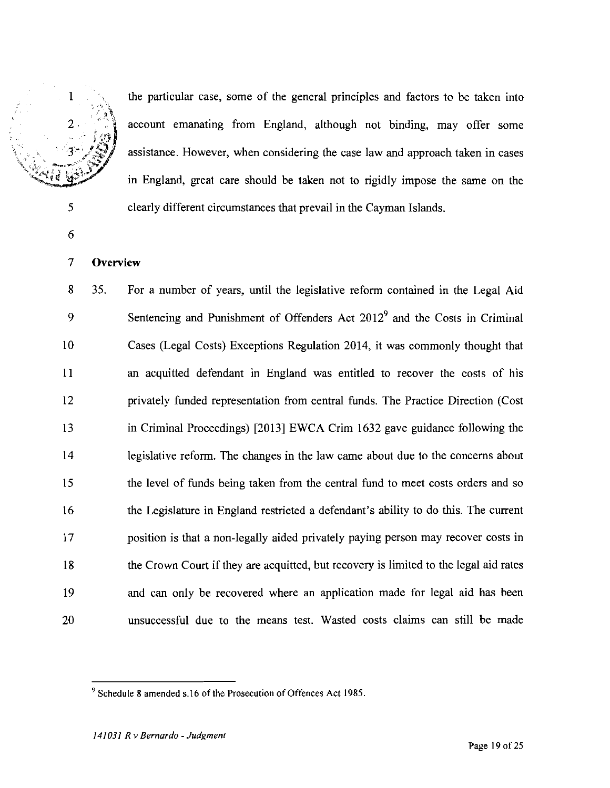

**6** 

the particular case, some of the general principles and factors to be taken into account emanating from England, although not binding, may offer some assistance. However, when considering the case law and approach taken in cases in England, great care should be taken not to rigidly impose the same on the **5** clearly different circumstances that prevail in the Cayman Islands.

**7 Overview** 

**8 35.** For a number of years, until the legislative reform contained in the Legal Aid Sentencing and Punishment of Offenders Act **2012~**and the Costs in Criminal Cases (Legal Costs) Exceptions Regulation **2014,** it was commonly thought that an acquitted defendant in England was entitled to recover the costs of his privately funded representation from central funds. The Practice Direction (Cost in Criminal Proceedings) **[2013]** EWCA Crim **1632** gave guidance following the legislative reform. The changes in the law came about due to the concerns about the level of funds being taken from the central fund to meet costs orders and so the Legislature in England restricted a defendant's ability to do this. The current position is that a non-legally aided privately paying person may recover costs in 18 the Crown Court if they are acquitted, but recovery is limited to the legal aid rates and can only be recovered where an application made for legal aid has been unsuccessful due to the means test. Wasted costs claims can still be made

<sup>&</sup>lt;sup>9</sup> Schedule 8 amended s.16 of the Prosecution of Offences Act 1985.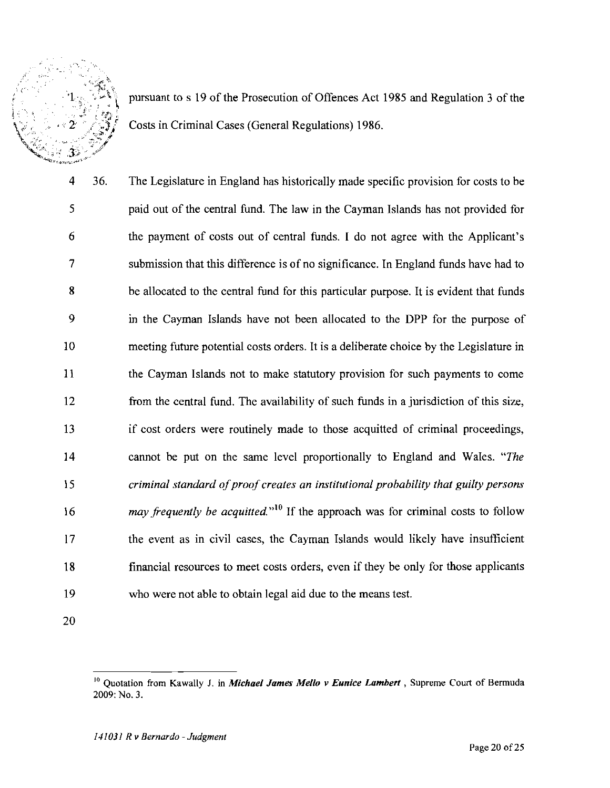

< ( pursuant to s **19** of the Prosecution of Offences Act **1985** and Regulation **3** of the Costs in Criminal Cases (General Regulations) 1986.

 $\overline{4}$ 36. The Legislature in England has historically made specific provision for costs to he  $\mathsf{S}$ paid out of the central fund. The law in the Cayman Islands has not provided for 6 the payment of costs out of central funds. I do not agree with the Applicant's  $\overline{7}$ submission that this difference is of no significance. In England funds have had to 8 he allocated to the central fund for this particular purpose. It is evident that funds **Q** in the Cayman Islands have not been allocated to the DPP for the purpose of 10 meeting future potential costs orders. It is a deliberate choice by the Legislature in 11 the Cayman Islands not to make statutory provision for such payments to come 12 from the central fund. The availability of such funds in a jurisdiction of this size, 13 if cost orders were routinely made to those acquitted of criminal proceedings, 14 cannot he put on the same level proportionally to England and WaIes. *"The criminal standard of proof creates an institutional probability that guilty persons* 15 *may frequently be acquitted.*"<sup>10</sup> If the approach was for criminal costs to follow 16 the event as in civil cases, the Cayman Islands would likely have insufficient  $17$ financial resources to meet costs orders, even if they he only for those applicants 18 19 who were not able to obtain legal aid due to the means test.

20

--

**<sup>10</sup>Quotation from Kawally J. in** *Michael James Mello v Eunice Lamberf* , **Supreme Court of Bermuda 2009: No. 3.**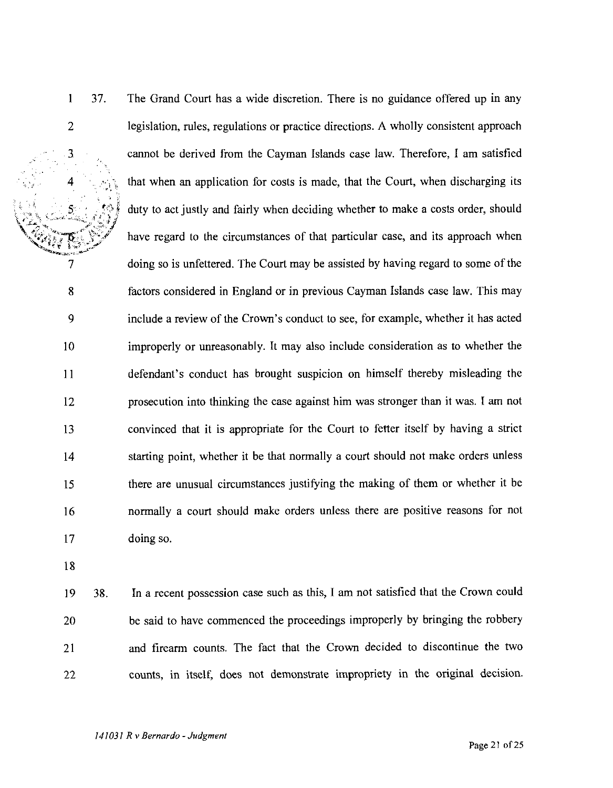1 37. The Grand Court has a wide discretion. There is no guidance offered up in any 2 legislation, rules, regulations or practice directions. A wholly consistent approach 3 cannot be derived from the Cayman Islands case law. Therefore, I am satisfied that when an application for costs is made, that the Court, when discharging its ', . , , **L I.**  duty to act justly and fairly when deciding whether to make a costs order, should '. **r-** %>!, ~.;;\*;',{ **,C~** . r;'."**r.;#'<z,** ...**3.**  have regard to the circumstances of that particular case, and its approach when  $\mathcal{O}_{\mathcal{U}}$  ,  $\mathcal{O}_{\mathcal{U}}$ **%..x..<** --"\* 7 doing so is unfettered. The Court may be assisted by having regard to some of the 8 factors considered in England or in previous Cayman Islands case law. This may 9 include a review of the Crown's conduct to see, for example, whether it has acted 10 improperly or unreasonably. It may also include consideration as to whether the 11 defendant's conduct has brought suspicion on himself thereby misleading the 12 prosecution into thinking the case against him was stronger than it was. I am not 13 convinced that it is appropriate for the Court to fetter itself by having a strict 14 starting point, whether it be that normally a court should not make orders unless 15 there are unusual circumstances justifying the making of them or whether it be 16 normally a court should make orders unless there are positive reasons for not 17 doing so.

18

 $\mathcal{L}^{\text{max}}_{\text{max}}$ .>.  $\frac{1}{2}$ .

 $\mathcal{L}^{\lambda}$ , . **,~-,.\$?:**  ",

> 19 38. In a recent possession case such as this, I am not satisfied that the Crown could 20 be said to have commenced the proceedings improperly by bringing the robbery 21 and firearm counts. The fact that the Crown decided to discontinue the two 22 counts, in itself, does not demonstrate impropriety in the original decision.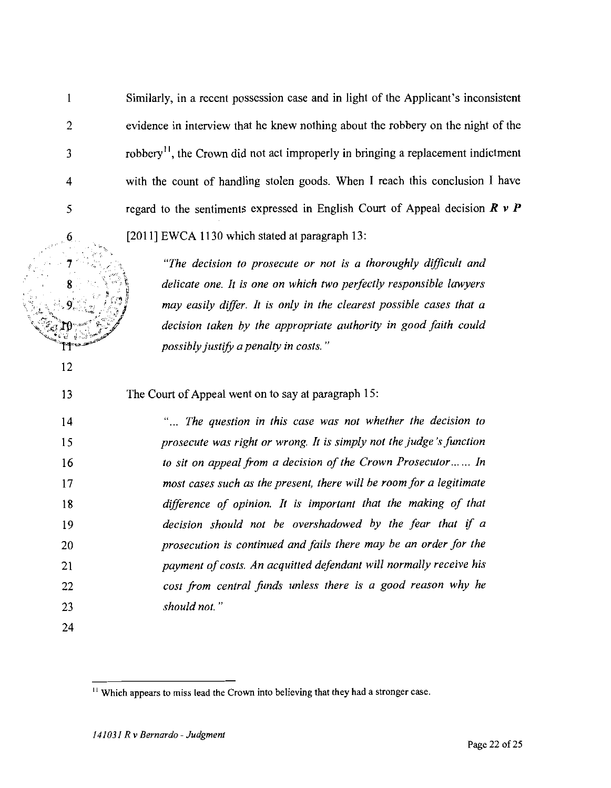1 Similarly, in a recent possession case and in light of the Applicant's inconsistent 2 evidence in interview that he knew nothing about the robbery on the night of the  $3$  robbery<sup>11</sup>, the Crown did not act improperly in bringing a replacement indictment **4** with the count of handling stolen goods. When I reach this conclusion I have 5 regard to the sentiments expressed in English Court of Appeal decision  $\mathbf{R} \cdot \mathbf{P}$ *6* [2011] EWCA 11 30 which stated at paragraph 13:  $\frac{1}{\sqrt{2\pi}}\sum_{k=1}^{\infty}\frac{4\pi}{k} \sum_{k=1}^{\infty}\frac{1}{k}$ 

 . . . *7* .... ,-': *"The decision to prosecute or not is a thoroughly dif\$cult and*  .. **1:**  *delicate one. It is one on which two perfectly responsible lawyers may easily differ. It is only in the clearest possible cases that a decision taken by the appropriate authorily in good faith could possibly justify a penalty in costs.*"

13 The Court of Appeal went on to say at paragraph 15:

"... *The question in this case was not whether the decision to prosecute was right or wrong. It is simply not the judge's function to sit on appeal from a decision of the Crown Prosecutor...... In most cases such as the present, there will be room for a legitimate difference of opinion. It is important that the making of that decision should not be overshadowed by the fear that if a prosecution is continued and fails there may be an order for the payment of costs. An acquitted defendant will normally receive his cost from central finds lrnless there is a good reason why he should not.* "

24

 $\mathcal{E}_{\mathcal{L}_{\mathcal{L}_{\mathcal{L}}}}$ 

12

 $14$ 

15

16

17

18

19

20

 $21$ 

22

23

<sup>&</sup>lt;sup>11</sup> Which appears to miss lead the Crown into believing that they had a stronger case.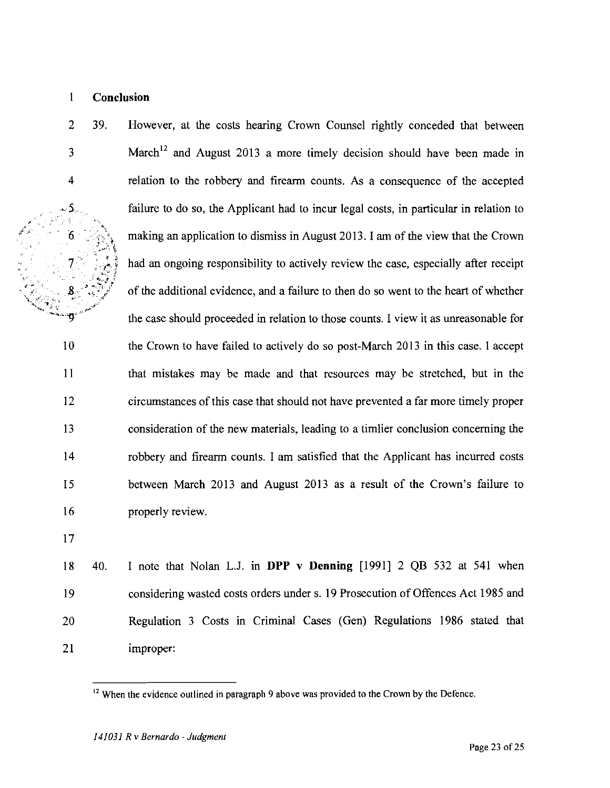## 1 **Conclusion**

- 2 39. However, at the costs hearing Crown Counsel rightly conceded that between  $3$   $\text{March}^{12}$  and August 2013 a more timely decision should have been made in 4 relation to the robbery and firearm counts. As a consequence of the accepted failure to do so, the Applicant had to incur legal costs, in particular in relation to ',,  $\mathcal{L}_{\mathcal{A}}$  $\sim$  $\sum_{i=1}^N\alpha_i$ . making an application to dismiss in August 2013. I am of the view that the Crown <sup>1</sup>*0* : , had an ongoing responsibility to actively review the case, especially after receipt . . - : ".,*2:'*  ,;  $\frac{7}{8}$ ,  $\frac{3}{8}$ of the additional evidence, and a failure to then do so went to the heart of whether<br>the case should proceeded in relation to those counts. I view it as unreasonable for 10 the Crown to have failed to actively do so post-March 2013 in this case. 1 accept 11 that mistakes may be made and that resources may be stretched, but in the 12 circumstances of this case that should not have prevented a far more timely proper 13 consideration of the new materials, leading to a timlier conclusion concerning the 14 robbery and firearm counts. I am satisfied that the Applicant has incurred costs I5 between March 2013 and August 2013 as a result of the Crown's failure to 16 properly review.
	- 17

~ ..  $\mathcal{L}^{(1)}$  ,

> 18 40. I note that Nolan L.J. in **DPP** v **Denning** [I9911 2 **QB** 532 at 541 when 19 considering wasted costs orders under s. 19 Prosecution of Offences Act 1985 and 20 Regulation 3 Costs in Criminal Cases (Gen) Regulations 1986 stated that 21 improper:

<sup>&</sup>lt;sup>12</sup> When the evidence outlined in paragraph 9 above was provided to the Crown by the Defence.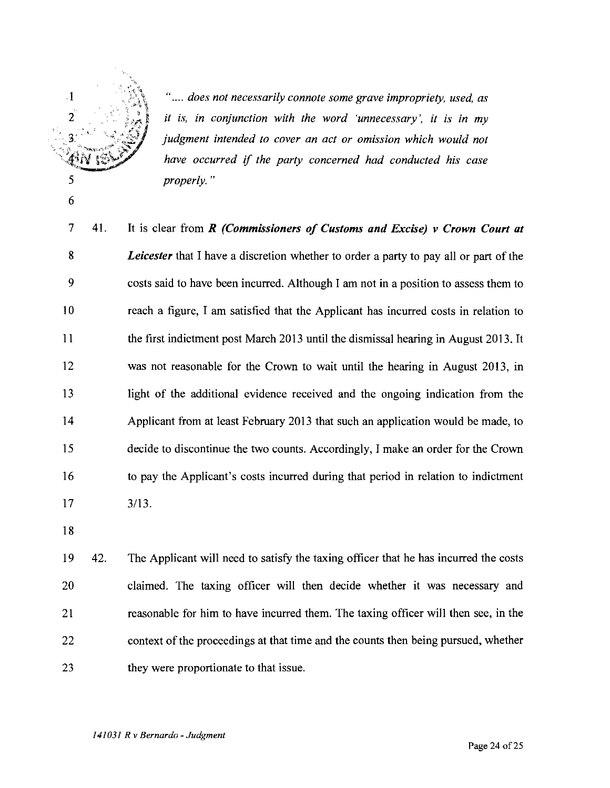

".... does not necessarily connote some grave impropriety, used, as *it is, in conjunction with the word 'unnecessary', it is in my judgment intended to cover an act or omission which would not have occurred if the party concerned had conducted his case* 

7 41. It is clear from **R** *(Commissioners of Customs and Excise)* v Crown Court at 8 *Leicester* that I have a discretion whether to order a party to pay all or part of the 9 costs said to have been incurred. Although I am not in a position to assess them to 10 reach a figure, I am satisfied that the Applicant has incurred costs in relation to 11 the first indictment post March 2013 until the dismissal hearing in August 2013. It 12 was not reasonable for the Crown to wait until the hearing in August 2013, in 13 light of the additional evidence received and the ongoing indication from the 14 Applicant fiom at least February 2013 that such an application would be made, to 15 decide to discontinue the two counts. Accordingly, I make an order for the Crown 16 to pay the Applicant's costs incurred during that period in relation to indictment 17 3/13.

18

19 42. The Applicant will need to satisfy the taxing officer that he has incurred the costs 20 claimed. The taxing officer will then decide whether it was necessary and 2 1 reasonable for him to have incurred them. The taxing officer will then see, in the 22 context of the proceedings at that time and the counts then being pursued, whether **23** they were proportionate to that issue.